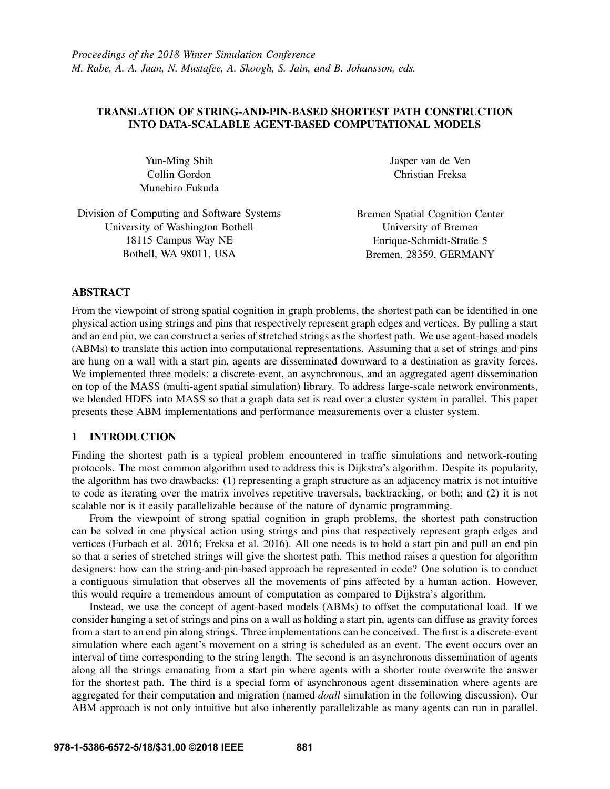# TRANSLATION OF STRING-AND-PIN-BASED SHORTEST PATH CONSTRUCTION INTO DATA-SCALABLE AGENT-BASED COMPUTATIONAL MODELS

Yun-Ming Shih Collin Gordon Munehiro Fukuda Jasper van de Ven Christian Freksa

| Division of Computing and Software Systems |
|--------------------------------------------|
| University of Washington Bothell           |
| 18115 Campus Way NE                        |
| Bothell, WA 98011, USA                     |

Bremen Spatial Cognition Center University of Bremen Enrique-Schmidt-Straße 5 Bremen, 28359, GERMANY

# ABSTRACT

From the viewpoint of strong spatial cognition in graph problems, the shortest path can be identified in one physical action using strings and pins that respectively represent graph edges and vertices. By pulling a start and an end pin, we can construct a series of stretched strings as the shortest path. We use agent-based models (ABMs) to translate this action into computational representations. Assuming that a set of strings and pins are hung on a wall with a start pin, agents are disseminated downward to a destination as gravity forces. We implemented three models: a discrete-event, an asynchronous, and an aggregated agent dissemination on top of the MASS (multi-agent spatial simulation) library. To address large-scale network environments, we blended HDFS into MASS so that a graph data set is read over a cluster system in parallel. This paper presents these ABM implementations and performance measurements over a cluster system.

## 1 INTRODUCTION

Finding the shortest path is a typical problem encountered in traffic simulations and network-routing protocols. The most common algorithm used to address this is Dijkstra's algorithm. Despite its popularity, the algorithm has two drawbacks: (1) representing a graph structure as an adjacency matrix is not intuitive to code as iterating over the matrix involves repetitive traversals, backtracking, or both; and (2) it is not scalable nor is it easily parallelizable because of the nature of dynamic programming.

From the viewpoint of strong spatial cognition in graph problems, the shortest path construction can be solved in one physical action using strings and pins that respectively represent graph edges and vertices (Furbach et al. 2016; Freksa et al. 2016). All one needs is to hold a start pin and pull an end pin so that a series of stretched strings will give the shortest path. This method raises a question for algorithm designers: how can the string-and-pin-based approach be represented in code? One solution is to conduct a contiguous simulation that observes all the movements of pins affected by a human action. However, this would require a tremendous amount of computation as compared to Dijkstra's algorithm.

Instead, we use the concept of agent-based models (ABMs) to offset the computational load. If we consider hanging a set of strings and pins on a wall as holding a start pin, agents can diffuse as gravity forces from a start to an end pin along strings. Three implementations can be conceived. The first is a discrete-event simulation where each agent's movement on a string is scheduled as an event. The event occurs over an interval of time corresponding to the string length. The second is an asynchronous dissemination of agents along all the strings emanating from a start pin where agents with a shorter route overwrite the answer for the shortest path. The third is a special form of asynchronous agent dissemination where agents are aggregated for their computation and migration (named *doall* simulation in the following discussion). Our ABM approach is not only intuitive but also inherently parallelizable as many agents can run in parallel.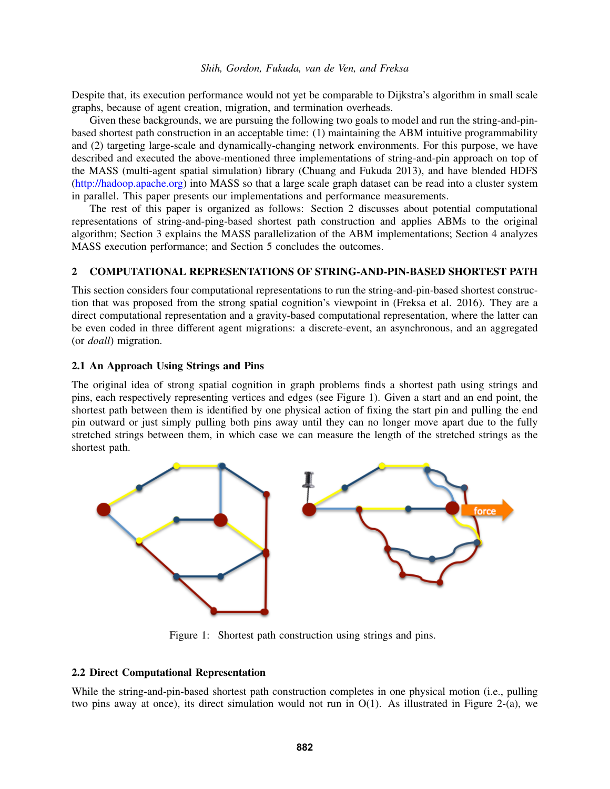## *Shih, Gordon, Fukuda, van de Ven, and Freksa*

Despite that, its execution performance would not yet be comparable to Dijkstra's algorithm in small scale graphs, because of agent creation, migration, and termination overheads.

Given these backgrounds, we are pursuing the following two goals to model and run the string-and-pinbased shortest path construction in an acceptable time: (1) maintaining the ABM intuitive programmability and (2) targeting large-scale and dynamically-changing network environments. For this purpose, we have described and executed the above-mentioned three implementations of string-and-pin approach on top of the MASS (multi-agent spatial simulation) library (Chuang and Fukuda 2013), and have blended HDFS (http://hadoop.apache.org) into MASS so that a large scale graph dataset can be read into a cluster system in parallel. This paper presents our implementations and performance measurements.

The rest of this paper is organized as follows: Section 2 discusses about potential computational representations of string-and-ping-based shortest path construction and applies ABMs to the original algorithm; Section 3 explains the MASS parallelization of the ABM implementations; Section 4 analyzes MASS execution performance; and Section 5 concludes the outcomes.

# 2 COMPUTATIONAL REPRESENTATIONS OF STRING-AND-PIN-BASED SHORTEST PATH

This section considers four computational representations to run the string-and-pin-based shortest construction that was proposed from the strong spatial cognition's viewpoint in (Freksa et al. 2016). They are a direct computational representation and a gravity-based computational representation, where the latter can be even coded in three different agent migrations: a discrete-event, an asynchronous, and an aggregated (or *doall*) migration.

# 2.1 An Approach Using Strings and Pins

The original idea of strong spatial cognition in graph problems finds a shortest path using strings and pins, each respectively representing vertices and edges (see Figure 1). Given a start and an end point, the shortest path between them is identified by one physical action of fixing the start pin and pulling the end pin outward or just simply pulling both pins away until they can no longer move apart due to the fully stretched strings between them, in which case we can measure the length of the stretched strings as the shortest path.



Figure 1: Shortest path construction using strings and pins.

# 2.2 Direct Computational Representation

While the string-and-pin-based shortest path construction completes in one physical motion (i.e., pulling two pins away at once), its direct simulation would not run in  $O(1)$ . As illustrated in Figure 2-(a), we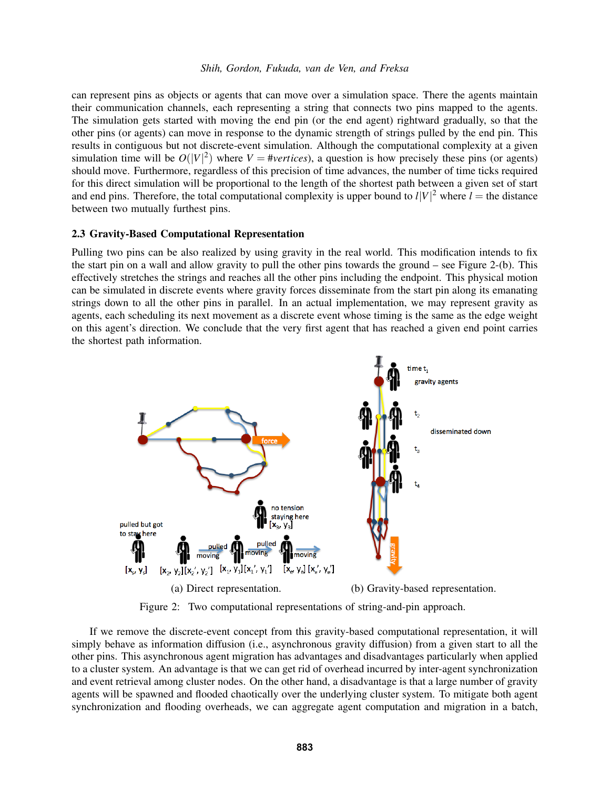#### *Shih, Gordon, Fukuda, van de Ven, and Freksa*

can represent pins as objects or agents that can move over a simulation space. There the agents maintain their communication channels, each representing a string that connects two pins mapped to the agents. The simulation gets started with moving the end pin (or the end agent) rightward gradually, so that the other pins (or agents) can move in response to the dynamic strength of strings pulled by the end pin. This results in contiguous but not discrete-event simulation. Although the computational complexity at a given simulation time will be  $O(|V|^2)$  where  $V = \#vertices$ , a question is how precisely these pins (or agents) should move. Furthermore, regardless of this precision of time advances, the number of time ticks required for this direct simulation will be proportional to the length of the shortest path between a given set of start and end pins. Therefore, the total computational complexity is upper bound to  $l|V|^2$  where  $l =$  the distance between two mutually furthest pins.

#### 2.3 Gravity-Based Computational Representation

Pulling two pins can be also realized by using gravity in the real world. This modification intends to fix the start pin on a wall and allow gravity to pull the other pins towards the ground – see Figure 2-(b). This effectively stretches the strings and reaches all the other pins including the endpoint. This physical motion can be simulated in discrete events where gravity forces disseminate from the start pin along its emanating strings down to all the other pins in parallel. In an actual implementation, we may represent gravity as agents, each scheduling its next movement as a discrete event whose timing is the same as the edge weight on this agent's direction. We conclude that the very first agent that has reached a given end point carries the shortest path information.



Figure 2: Two computational representations of string-and-pin approach.

If we remove the discrete-event concept from this gravity-based computational representation, it will simply behave as information diffusion (i.e., asynchronous gravity diffusion) from a given start to all the other pins. This asynchronous agent migration has advantages and disadvantages particularly when applied to a cluster system. An advantage is that we can get rid of overhead incurred by inter-agent synchronization and event retrieval among cluster nodes. On the other hand, a disadvantage is that a large number of gravity agents will be spawned and flooded chaotically over the underlying cluster system. To mitigate both agent synchronization and flooding overheads, we can aggregate agent computation and migration in a batch,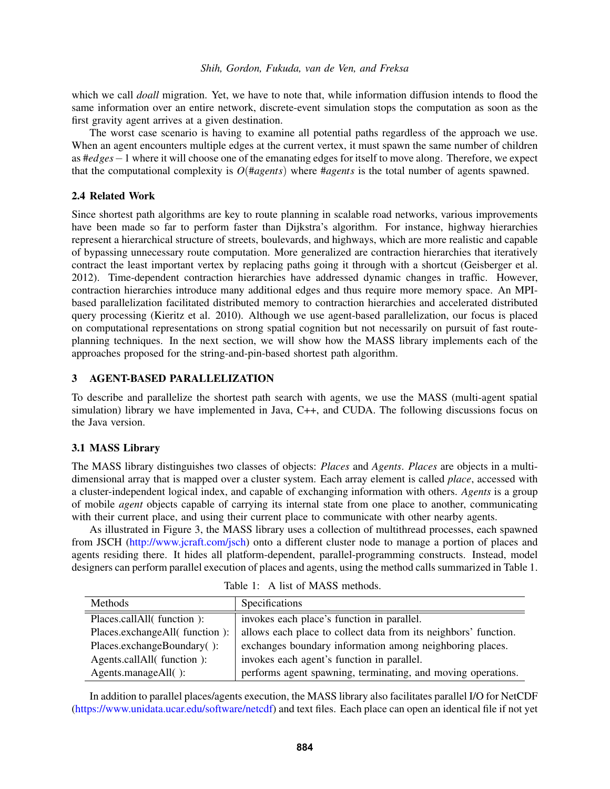which we call *doall* migration. Yet, we have to note that, while information diffusion intends to flood the same information over an entire network, discrete-event simulation stops the computation as soon as the first gravity agent arrives at a given destination.

The worst case scenario is having to examine all potential paths regardless of the approach we use. When an agent encounters multiple edges at the current vertex, it must spawn the same number of children as #*edges*−1 where it will choose one of the emanating edges for itself to move along. Therefore, we expect that the computational complexity is *O*(#*agents*) where #*agents* is the total number of agents spawned.

## 2.4 Related Work

Since shortest path algorithms are key to route planning in scalable road networks, various improvements have been made so far to perform faster than Dijkstra's algorithm. For instance, highway hierarchies represent a hierarchical structure of streets, boulevards, and highways, which are more realistic and capable of bypassing unnecessary route computation. More generalized are contraction hierarchies that iteratively contract the least important vertex by replacing paths going it through with a shortcut (Geisberger et al. 2012). Time-dependent contraction hierarchies have addressed dynamic changes in traffic. However, contraction hierarchies introduce many additional edges and thus require more memory space. An MPIbased parallelization facilitated distributed memory to contraction hierarchies and accelerated distributed query processing (Kieritz et al. 2010). Although we use agent-based parallelization, our focus is placed on computational representations on strong spatial cognition but not necessarily on pursuit of fast routeplanning techniques. In the next section, we will show how the MASS library implements each of the approaches proposed for the string-and-pin-based shortest path algorithm.

## 3 AGENT-BASED PARALLELIZATION

To describe and parallelize the shortest path search with agents, we use the MASS (multi-agent spatial simulation) library we have implemented in Java, C++, and CUDA. The following discussions focus on the Java version.

## 3.1 MASS Library

The MASS library distinguishes two classes of objects: *Places* and *Agents*. *Places* are objects in a multidimensional array that is mapped over a cluster system. Each array element is called *place*, accessed with a cluster-independent logical index, and capable of exchanging information with others. *Agents* is a group of mobile *agent* objects capable of carrying its internal state from one place to another, communicating with their current place, and using their current place to communicate with other nearby agents.

As illustrated in Figure 3, the MASS library uses a collection of multithread processes, each spawned from JSCH (http://www.jcraft.com/jsch) onto a different cluster node to manage a portion of places and agents residing there. It hides all platform-dependent, parallel-programming constructs. Instead, model designers can perform parallel execution of places and agents, using the method calls summarized in Table 1.

| <b>Methods</b>                | Specifications                                                  |
|-------------------------------|-----------------------------------------------------------------|
| Places.callAll(function):     | invokes each place's function in parallel.                      |
| Places.exchangeAll(function): | allows each place to collect data from its neighbors' function. |
| Places.exchangeBoundary():    | exchanges boundary information among neighboring places.        |
| Agents.callAll(function):     | invokes each agent's function in parallel.                      |
| $Agents.maxageAll()$ :        | performs agent spawning, terminating, and moving operations.    |

Table 1: A list of MASS methods.

In addition to parallel places/agents execution, the MASS library also facilitates parallel I/O for NetCDF (https://www.unidata.ucar.edu/software/netcdf) and text files. Each place can open an identical file if not yet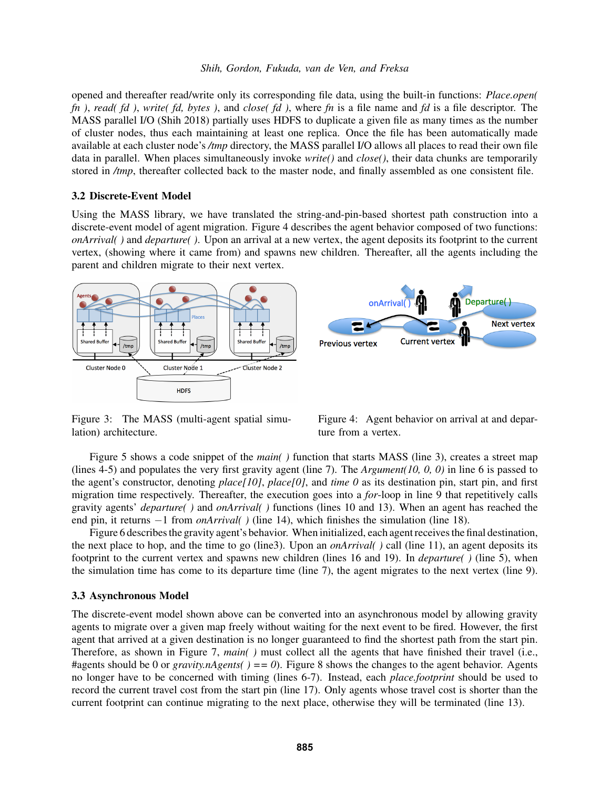opened and thereafter read/write only its corresponding file data, using the built-in functions: *Place.open( fn )*, *read( fd )*, *write( fd, bytes )*, and *close( fd )*, where *fn* is a file name and *fd* is a file descriptor. The MASS parallel I/O (Shih 2018) partially uses HDFS to duplicate a given file as many times as the number of cluster nodes, thus each maintaining at least one replica. Once the file has been automatically made available at each cluster node's */tmp* directory, the MASS parallel I/O allows all places to read their own file data in parallel. When places simultaneously invoke *write()* and *close()*, their data chunks are temporarily stored in */tmp*, thereafter collected back to the master node, and finally assembled as one consistent file.

### 3.2 Discrete-Event Model

Using the MASS library, we have translated the string-and-pin-based shortest path construction into a discrete-event model of agent migration. Figure 4 describes the agent behavior composed of two functions: *onArrival( )* and *departure( )*. Upon an arrival at a new vertex, the agent deposits its footprint to the current vertex, (showing where it came from) and spawns new children. Thereafter, all the agents including the parent and children migrate to their next vertex.



Figure 3: The MASS (multi-agent spatial simulation) architecture.

Figure 4: Agent behavior on arrival at and departure from a vertex.

Figure 5 shows a code snippet of the *main( )* function that starts MASS (line 3), creates a street map (lines 4-5) and populates the very first gravity agent (line 7). The *Argument(10, 0, 0)* in line 6 is passed to the agent's constructor, denoting *place[10]*, *place[0]*, and *time 0* as its destination pin, start pin, and first migration time respectively. Thereafter, the execution goes into a *for*-loop in line 9 that repetitively calls gravity agents' *departure( )* and *onArrival( )* functions (lines 10 and 13). When an agent has reached the end pin, it returns −1 from *onArrival( )* (line 14), which finishes the simulation (line 18).

Figure 6 describes the gravity agent's behavior. When initialized, each agent receives the final destination, the next place to hop, and the time to go (line3). Upon an *onArrival( )* call (line 11), an agent deposits its footprint to the current vertex and spawns new children (lines 16 and 19). In *departure( )* (line 5), when the simulation time has come to its departure time (line 7), the agent migrates to the next vertex (line 9).

#### 3.3 Asynchronous Model

The discrete-event model shown above can be converted into an asynchronous model by allowing gravity agents to migrate over a given map freely without waiting for the next event to be fired. However, the first agent that arrived at a given destination is no longer guaranteed to find the shortest path from the start pin. Therefore, as shown in Figure 7, *main( )* must collect all the agents that have finished their travel (i.e., #agents should be 0 or *gravity.nAgents()* = = 0). Figure 8 shows the changes to the agent behavior. Agents no longer have to be concerned with timing (lines 6-7). Instead, each *place.footprint* should be used to record the current travel cost from the start pin (line 17). Only agents whose travel cost is shorter than the current footprint can continue migrating to the next place, otherwise they will be terminated (line 13).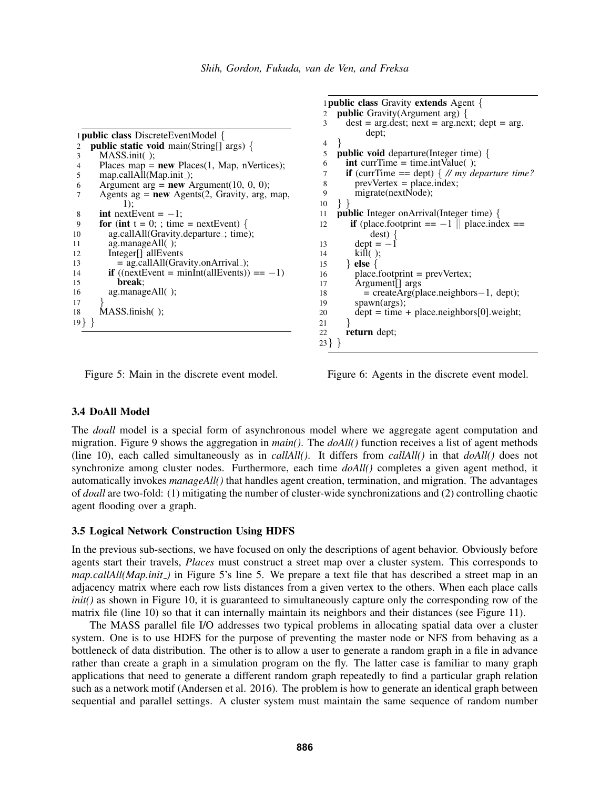```
1public class DiscreteEventModel {
2 public static void main(String[] args) \{3, \text{MASS. init}():
 \frac{3}{4} MASS.init( );<br>4 Places map =
 4 Places map = new Places(1, Map, nVertices);<br>map.callAll(Map.init_);
5 map.callAll(Map.init_);<br>6 Argument arg = new A
        Argument arg = new Argument(10, 0, 0);
 7 Agents ag = new Agents(2, Gravity, arg, map,
               1);
8 int nextEvent = -1;<br>9 for (int t = 0; ; time
9 for (int t = 0; ; time = nextEvent) {<br>10 ag.callAll(Gravity departure: time
           ag.callAll(Gravity.departure ; time);
11 ag.manageAll( );
12 Integer[] allEvents<br>13 = ag.callAll(Grav
13 = ag.callAll(Gravity.onArrival.);<br>14 if ((nextEvent = minInt(allEvents))
           \mathbf{if} ((nextEvent = minInt(allEvents)) == -1)
15 break;
16 ag.manageAll( );
17 }
18 MASS.finish( );
19 } }
```

```
1public class Gravity extends Agent {
 2 public Gravity(Argument arg) {
 3 dest = arg.dest; next = arg.next; dept = arg.
              dept;
 4 }
 5 public void departure(Integer time) {<br>6 int currTime = time.intValue();
        \text{int} currTime = time.intValue( );
 7 if (currTime == dept) { // my departure time?
8 prevVertex = place.index;<br>9 migrate(nextNode):
9 migrate(nextNode);<br>10 } }
     \} }
11 public Integer onArrival(Integer time) {
12 if (place.footprint == -1 || place.index ==
               dest) {
13 dept = -114 kill( );
\begin{array}{c} 15 \\ 16 \end{array} } else {<br>16 place.
16 place.footprint = prevVertex;<br>17 Argument\lceil \cdot \rceil args
          Argument[] args
18 = createArg(place.neighbors−1, dept);<br>19 spawn(args);
19 spawn(args);<br>20 dept = time \cdotdept = time + place.neighbors[0].weight;21 }
22 return dept;
23} }
```
Figure 5: Main in the discrete event model.

Figure 6: Agents in the discrete event model.

# 3.4 DoAll Model

The *doall* model is a special form of asynchronous model where we aggregate agent computation and migration. Figure 9 shows the aggregation in *main()*. The *doAll()* function receives a list of agent methods (line 10), each called simultaneously as in *callAll()*. It differs from *callAll()* in that *doAll()* does not synchronize among cluster nodes. Furthermore, each time *doAll()* completes a given agent method, it automatically invokes *manageAll()* that handles agent creation, termination, and migration. The advantages of *doall* are two-fold: (1) mitigating the number of cluster-wide synchronizations and (2) controlling chaotic agent flooding over a graph.

# 3.5 Logical Network Construction Using HDFS

In the previous sub-sections, we have focused on only the descriptions of agent behavior. Obviously before agents start their travels, *Places* must construct a street map over a cluster system. This corresponds to *map.callAll(Map.init<sub>-</sub>)* in Figure 5's line 5. We prepare a text file that has described a street map in an adjacency matrix where each row lists distances from a given vertex to the others. When each place calls *init()* as shown in Figure 10, it is guaranteed to simultaneously capture only the corresponding row of the matrix file (line 10) so that it can internally maintain its neighbors and their distances (see Figure 11).

The MASS parallel file I/O addresses two typical problems in allocating spatial data over a cluster system. One is to use HDFS for the purpose of preventing the master node or NFS from behaving as a bottleneck of data distribution. The other is to allow a user to generate a random graph in a file in advance rather than create a graph in a simulation program on the fly. The latter case is familiar to many graph applications that need to generate a different random graph repeatedly to find a particular graph relation such as a network motif (Andersen et al. 2016). The problem is how to generate an identical graph between sequential and parallel settings. A cluster system must maintain the same sequence of random number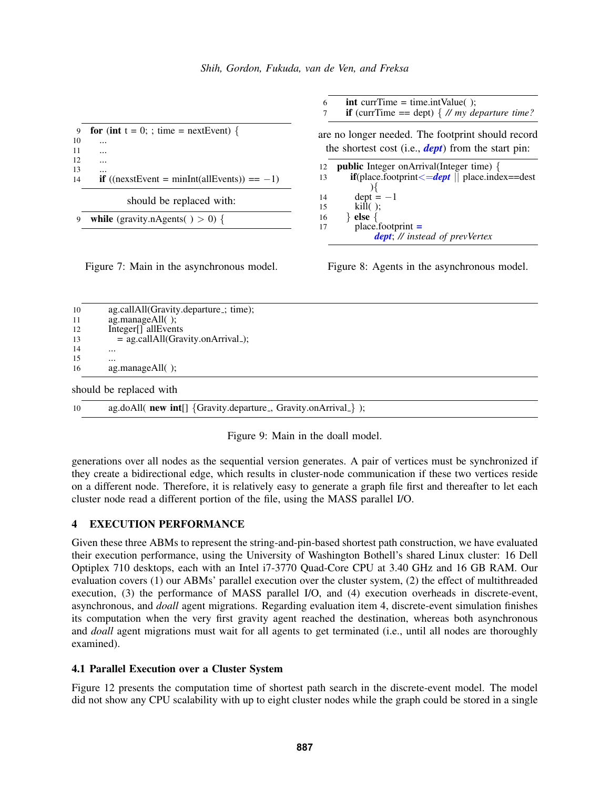| -9                       | for (int $t = 0$ ; ; time = nextEvent) {              |  |  |  |
|--------------------------|-------------------------------------------------------|--|--|--|
| 10                       |                                                       |  |  |  |
| 11                       |                                                       |  |  |  |
| 12                       |                                                       |  |  |  |
| 13                       |                                                       |  |  |  |
| 14                       | <b>if</b> ((nexstEvent = minInt(allEvents)) == $-1$ ) |  |  |  |
| should be replaced with: |                                                       |  |  |  |
| 9                        | while (gravity.nAgents() > 0) {                       |  |  |  |

Figure 7: Main in the asynchronous model.

6 int currTime = time.intValue( $\cdot$ ); **if** (currTime == dept)  $\frac{7}{4}$  // *my departure time?* 

are no longer needed. The footprint should record the shortest cost (i.e., *dept*) from the start pin:

| 12 | <b>public</b> Integer on Arrival (Integer time) {             |
|----|---------------------------------------------------------------|
| 13 | $if(place.footprint \le = dept \mid \mid place.index == dest$ |
|    |                                                               |
| 14 | $dept = -1$                                                   |
| 15 | $kill()$ ;                                                    |
| 16 | else $\{$                                                     |
| 17 | $placefootprint =$                                            |
|    | dept; // instead of prevVertex                                |

Figure 8: Agents in the asynchronous model.

| 10 | ag.callAll(Gravity.departure_; time);                           |
|----|-----------------------------------------------------------------|
| 11 | $ag.manageAll()$ ;                                              |
| 12 | $Integer[]$ all Events                                          |
| 13 | $=$ ag.callAll(Gravity.onArrival);                              |
| 14 | $\cdots$                                                        |
| 15 | $\cdots$                                                        |
| 16 | $ag.manageAll()$ ;                                              |
|    | should be replaced with                                         |
| 10 | ag.doAll( new int[] {Gravity.departure_, Gravity.onArrival_} ); |

Figure 9: Main in the doall model.

generations over all nodes as the sequential version generates. A pair of vertices must be synchronized if they create a bidirectional edge, which results in cluster-node communication if these two vertices reside on a different node. Therefore, it is relatively easy to generate a graph file first and thereafter to let each cluster node read a different portion of the file, using the MASS parallel I/O.

# 4 EXECUTION PERFORMANCE

Given these three ABMs to represent the string-and-pin-based shortest path construction, we have evaluated their execution performance, using the University of Washington Bothell's shared Linux cluster: 16 Dell Optiplex 710 desktops, each with an Intel i7-3770 Quad-Core CPU at 3.40 GHz and 16 GB RAM. Our evaluation covers (1) our ABMs' parallel execution over the cluster system, (2) the effect of multithreaded execution, (3) the performance of MASS parallel I/O, and (4) execution overheads in discrete-event, asynchronous, and *doall* agent migrations. Regarding evaluation item 4, discrete-event simulation finishes its computation when the very first gravity agent reached the destination, whereas both asynchronous and *doall* agent migrations must wait for all agents to get terminated (i.e., until all nodes are thoroughly examined).

# 4.1 Parallel Execution over a Cluster System

Figure 12 presents the computation time of shortest path search in the discrete-event model. The model did not show any CPU scalability with up to eight cluster nodes while the graph could be stored in a single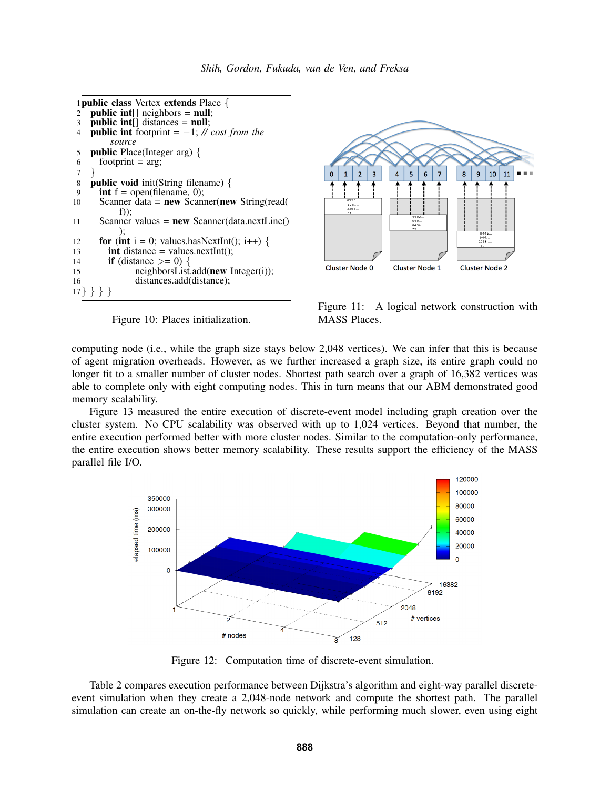```
1 public class Vertex extends Place \{2 public int[] neighbors = <b>null:
2 public int[] neighbors = null;<br>3 public int[] distances = null:
3 public int[] distances = null;<br>4 public int footprint = -1: //
     public int footprint = -1; // cost from the
            source
5 public Place(Integer arg) {<br>6 footprint = arg;
        footprint = arg;\tau8 public void init(String filename) {
9 int f = open(filename, 0);
10 Scanner data = new Scanner(new String(read(
              f));
11 Scanner values = new Scanner(data.nextLine()
               );
12 for (int i = 0; values.hasNextInt(); i++) {<br>13 int distance = values.nextInt();
13 int distance = values.nextInt();<br>14 if (distance \geq = 0) {
14 if (distance >= 0) {<br>15 implies neighbors List
                    neighborsList.add(new Integer(i));
16 distances.add(distance);
17 } } } }
```


Figure 10: Places initialization.

Figure 11: A logical network construction with MASS Places.

computing node (i.e., while the graph size stays below 2,048 vertices). We can infer that this is because of agent migration overheads. However, as we further increased a graph size, its entire graph could no longer fit to a smaller number of cluster nodes. Shortest path search over a graph of 16,382 vertices was able to complete only with eight computing nodes. This in turn means that our ABM demonstrated good memory scalability.

Figure 13 measured the entire execution of discrete-event model including graph creation over the cluster system. No CPU scalability was observed with up to 1,024 vertices. Beyond that number, the entire execution performed better with more cluster nodes. Similar to the computation-only performance, the entire execution shows better memory scalability. These results support the efficiency of the MASS parallel file I/O.



Figure 12: Computation time of discrete-event simulation.

Table 2 compares execution performance between Dijkstra's algorithm and eight-way parallel discreteevent simulation when they create a 2,048-node network and compute the shortest path. The parallel simulation can create an on-the-fly network so quickly, while performing much slower, even using eight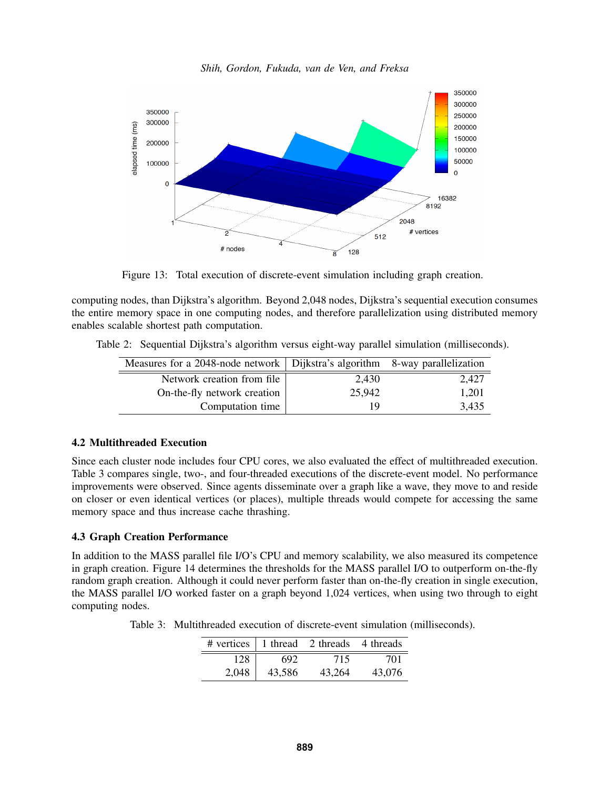*Shih, Gordon, Fukuda, van de Ven, and Freksa*



Figure 13: Total execution of discrete-event simulation including graph creation.

computing nodes, than Dijkstra's algorithm. Beyond 2,048 nodes, Dijkstra's sequential execution consumes the entire memory space in one computing nodes, and therefore parallelization using distributed memory enables scalable shortest path computation.

Table 2: Sequential Dijkstra's algorithm versus eight-way parallel simulation (milliseconds).

| Measures for a 2048-node network   Dijkstra's algorithm 8-way parallelization |        |       |
|-------------------------------------------------------------------------------|--------|-------|
| Network creation from file                                                    | 2.430  | 2.427 |
| On-the-fly network creation                                                   | 25.942 | 1,201 |
| Computation time                                                              | 19     | 3,435 |

### 4.2 Multithreaded Execution

Since each cluster node includes four CPU cores, we also evaluated the effect of multithreaded execution. Table 3 compares single, two-, and four-threaded executions of the discrete-event model. No performance improvements were observed. Since agents disseminate over a graph like a wave, they move to and reside on closer or even identical vertices (or places), multiple threads would compete for accessing the same memory space and thus increase cache thrashing.

# 4.3 Graph Creation Performance

In addition to the MASS parallel file I/O's CPU and memory scalability, we also measured its competence in graph creation. Figure 14 determines the thresholds for the MASS parallel I/O to outperform on-the-fly random graph creation. Although it could never perform faster than on-the-fly creation in single execution, the MASS parallel I/O worked faster on a graph beyond 1,024 vertices, when using two through to eight computing nodes.

Table 3: Multithreaded execution of discrete-event simulation (milliseconds).

|       |        | $\#$ vertices   1 thread 2 threads 4 threads |        |
|-------|--------|----------------------------------------------|--------|
| 128   | 692    | 715                                          | 701    |
| 2,048 | 43.586 | 43.264                                       | 43,076 |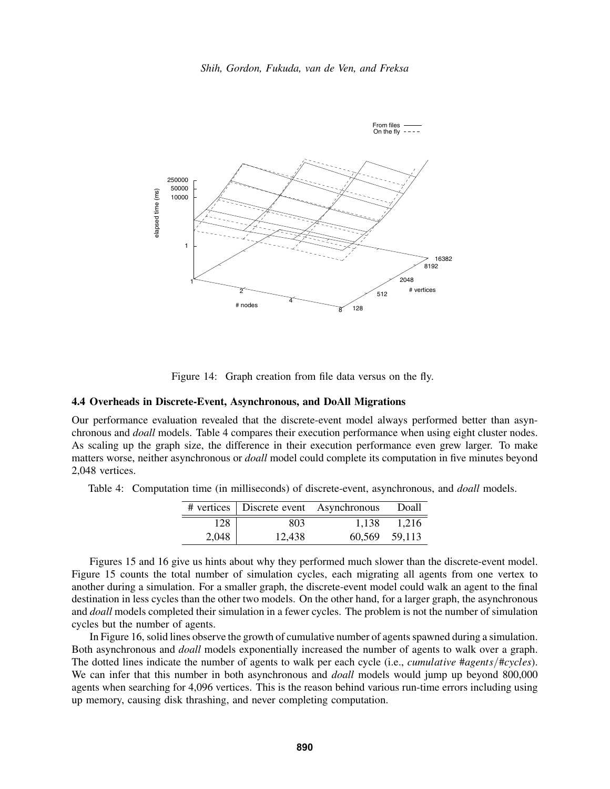

Figure 14: Graph creation from file data versus on the fly.

#### 4.4 Overheads in Discrete-Event, Asynchronous, and DoAll Migrations

Our performance evaluation revealed that the discrete-event model always performed better than asynchronous and *doall* models. Table 4 compares their execution performance when using eight cluster nodes. As scaling up the graph size, the difference in their execution performance even grew larger. To make matters worse, neither asynchronous or *doall* model could complete its computation in five minutes beyond 2,048 vertices.

Table 4: Computation time (in milliseconds) of discrete-event, asynchronous, and *doall* models.

|       | # vertices   Discrete event Asynchronous |       | Doall         |
|-------|------------------------------------------|-------|---------------|
| 128   | 803                                      | 1.138 | 1,216         |
| 2,048 | 12.438                                   |       | 60.569 59.113 |

Figures 15 and 16 give us hints about why they performed much slower than the discrete-event model. Figure 15 counts the total number of simulation cycles, each migrating all agents from one vertex to another during a simulation. For a smaller graph, the discrete-event model could walk an agent to the final destination in less cycles than the other two models. On the other hand, for a larger graph, the asynchronous and *doall* models completed their simulation in a fewer cycles. The problem is not the number of simulation cycles but the number of agents.

In Figure 16, solid lines observe the growth of cumulative number of agents spawned during a simulation. Both asynchronous and *doall* models exponentially increased the number of agents to walk over a graph. The dotted lines indicate the number of agents to walk per each cycle (i.e., *cumulative* #*agents*/#*cycles*). We can infer that this number in both asynchronous and *doall* models would jump up beyond 800,000 agents when searching for 4,096 vertices. This is the reason behind various run-time errors including using up memory, causing disk thrashing, and never completing computation.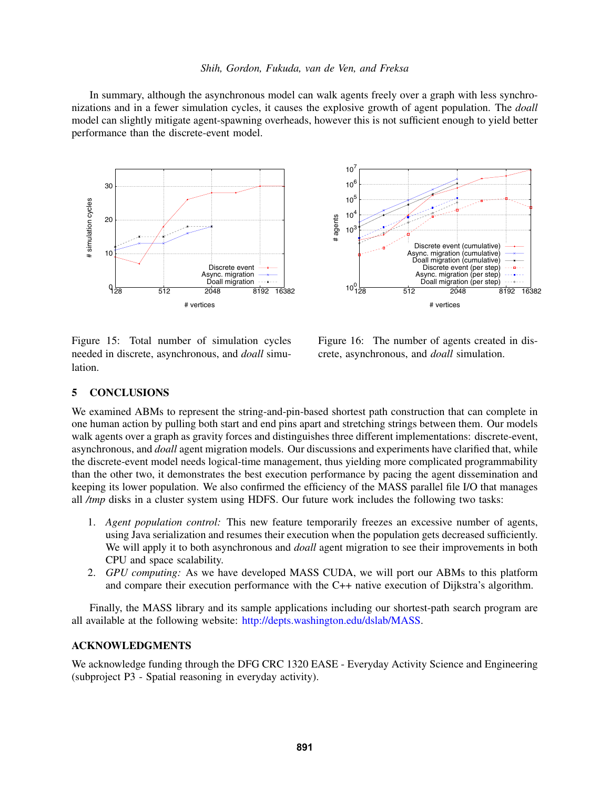In summary, although the asynchronous model can walk agents freely over a graph with less synchronizations and in a fewer simulation cycles, it causes the explosive growth of agent population. The *doall* model can slightly mitigate agent-spawning overheads, however this is not sufficient enough to yield better performance than the discrete-event model.





Figure 15: Total number of simulation cycles needed in discrete, asynchronous, and *doall* simulation.

Figure 16: The number of agents created in discrete, asynchronous, and *doall* simulation.

### 5 CONCLUSIONS

We examined ABMs to represent the string-and-pin-based shortest path construction that can complete in one human action by pulling both start and end pins apart and stretching strings between them. Our models walk agents over a graph as gravity forces and distinguishes three different implementations: discrete-event, asynchronous, and *doall* agent migration models. Our discussions and experiments have clarified that, while the discrete-event model needs logical-time management, thus yielding more complicated programmability than the other two, it demonstrates the best execution performance by pacing the agent dissemination and keeping its lower population. We also confirmed the efficiency of the MASS parallel file I/O that manages all */tmp* disks in a cluster system using HDFS. Our future work includes the following two tasks:

- 1. *Agent population control:* This new feature temporarily freezes an excessive number of agents, using Java serialization and resumes their execution when the population gets decreased sufficiently. We will apply it to both asynchronous and *doall* agent migration to see their improvements in both CPU and space scalability.
- 2. *GPU computing:* As we have developed MASS CUDA, we will port our ABMs to this platform and compare their execution performance with the C++ native execution of Dijkstra's algorithm.

Finally, the MASS library and its sample applications including our shortest-path search program are all available at the following website: http://depts.washington.edu/dslab/MASS.

## ACKNOWLEDGMENTS

We acknowledge funding through the DFG CRC 1320 EASE - Everyday Activity Science and Engineering (subproject P3 - Spatial reasoning in everyday activity).